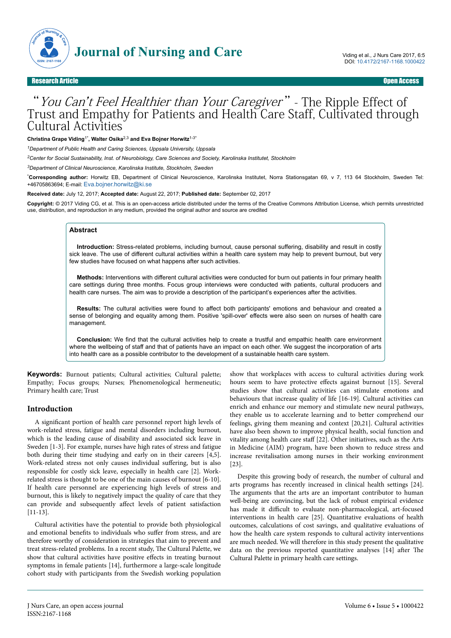

Research Article Open Access

# "You Can't Feel Healthier than Your Caregiver" - The Ripple Effect of Trust and Empathy for Patients and Health Care Staff, Cultivated through Cultural Activities 't Feel Healthier than Your Caregiver" .

**Christina Grape Viding**1\***, Walter Osika**2,3 **and Eva Bojner Horwitz**1-3\*

*<sup>1</sup>Department of Public Health and Caring Sciences, Uppsala University, Uppsala*

*<sup>2</sup>Center for Social Sustainability, Inst. of Neurobiology, Care Sciences and Society, Karolinska Institutet, Stockholm*

*<sup>3</sup>Department of Clinical Neuroscience, Karolinska Institute, Stockholm, Sweden*

\***Corresponding author:** Horwitz EB, Department of Clinical Neuroscience, Karolinska Institutet, Norra Stationsgatan 69, v 7, 113 64 Stockholm, Sweden Tel: +46705863694; E-mail: [Eva.bojner.horwitz@ki.se](mailto:Eva.bojner.horwitz@ki.se)

**Received date:** July 12, 2017; **Accepted date:** August 22, 2017; **Published date:** September 02, 2017

**Copyright:** © 2017 Viding CG, et al. This is an open-access article distributed under the terms of the Creative Commons Attribution License, which permits unrestricted use, distribution, and reproduction in any medium, provided the original author and source are credited

#### **Abstract**

**Introduction:** Stress-related problems, including burnout, cause personal suffering, disability and result in costly sick leave. The use of different cultural activities within a health care system may help to prevent burnout, but very few studies have focused on what happens after such activities.

**Methods:** Interventions with different cultural activities were conducted for burn out patients in four primary health care settings during three months. Focus group interviews were conducted with patients, cultural producers and health care nurses. The aim was to provide a description of the participant's experiences after the activities.

**Results:** The cultural activities were found to affect both participants' emotions and behaviour and created a sense of belonging and equality among them. Positive 'spill-over' effects were also seen on nurses of health care management.

**Conclusion:** We find that the cultural activities help to create a trustful and empathic health care environment where the wellbeing of staff and that of patients have an impact on each other. We suggest the incorporation of arts into health care as a possible contributor to the development of a sustainable health care system.

**Keywords:** Burnout patients; Cultural activities; Cultural palette; Empathy; Focus groups; Nurses; Phenomenological hermeneutic; Primary health care; Trust

#### **Introduction**

A significant portion of health care personnel report high levels of work-related stress, fatigue and mental disorders including burnout, which is the leading cause of disability and associated sick leave in Sweden [1-3]. For example, nurses have high rates of stress and fatigue both during their time studying and early on in their careers [4,5]. Work-related stress not only causes individual suffering, but is also responsible for costly sick leave, especially in health care [2]. Workrelated stress is thought to be one of the main causes of burnout [6-10]. If health care personnel are experiencing high levels of stress and burnout, this is likely to negatively impact the quality of care that they can provide and subsequently affect levels of patient satisfaction [11-13].

Cultural activities have the potential to provide both physiological and emotional benefits to individuals who suffer from stress, and are therefore worthy of consideration in strategies that aim to prevent and treat stress-related problems. In a recent study, Нe Cultural Palette, we show that cultural activities have positive effects in treating burnout symptoms in female patients [14], furthermore a large-scale longitude cohort study with participants from the Swedish working population

show that workplaces with access to cultural activities during work hours seem to have protective effects against burnout [15]. Several studies show that cultural activities can stimulate emotions and behaviours that increase quality of life [16-19]. Cultural activities can enrich and enhance our memory and stimulate new neural pathways, they enable us to accelerate learning and to better comprehend our feelings, giving them meaning and context [20,21]. Cultural activities have also been shown to improve physical health, social function and vitality among health care staff [22]. Other initiatives, such as the Arts in Medicine (AIM) program, have been shown to reduce stress and increase revitalisation among nurses in their working environment [23].

Despite this growing body of research, the number of cultural and arts programs has recently increased in clinical health settings [24]. The arguments that the arts are an important contributor to human well-being are convincing, but the lack of robust empirical evidence has made it difficult to evaluate non-pharmacological, art-focused interventions in health care [25]. Quantitative evaluations of health outcomes, calculations of cost savings, and qualitative evaluations of how the health care system responds to cultural activity interventions are much needed. We will therefore in this study present the qualitative data on the previous reported quantitative analyses [14] after The Cultural Palette in primary health care settings.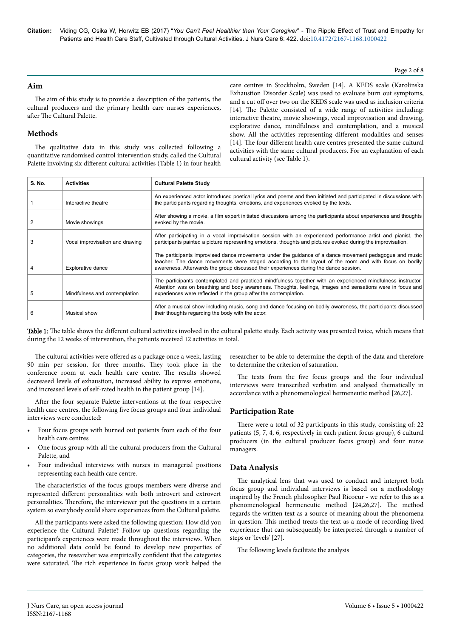**Citation:** Viding CG, Osika W, Horwitz EB (2017) "*You Can't Feel Healthier than Your Caregiver*" - The Ripple Effect of Trust and Empathy for Patients and Health Care Staff, Cultivated through Cultural Activities. J Nurs Care 6: 422. doi:10.4172/2167-1168.1000422

#### Page 2 of 8

### **Aim**

The aim of this study is to provide a description of the patients, the cultural producers and the primary health care nurses experiences, after The Cultural Palette.

### **Methods**

The qualitative data in this study was collected following a quantitative randomised control intervention study, called the Cultural Palette involving six different cultural activities (Table 1) in four health

care centres in Stockholm, Sweden [14]. A KEDS scale (Karolinska Exhaustion Disorder Scale) was used to evaluate burn out symptoms, and a cut off over two on the KEDS scale was used as inclusion criteria [14]. The Palette consisted of a wide range of activities including: interactive theatre, movie showings, vocal improvisation and drawing, explorative dance, mindfulness and contemplation, and a musical show. All the activities representing different modalities and senses [14]. The four different health care centres presented the same cultural activities with the same cultural producers. For an explanation of each cultural activity (see Table 1).

| S. No. | <b>Activities</b>               | <b>Cultural Palette Study</b>                                                                                                                                                                                                                                                                            |
|--------|---------------------------------|----------------------------------------------------------------------------------------------------------------------------------------------------------------------------------------------------------------------------------------------------------------------------------------------------------|
|        | Interactive theatre             | An experienced actor introduced poetical lyrics and poems and then initiated and participated in discussions with<br>the participants regarding thoughts, emotions, and experiences evoked by the texts.                                                                                                 |
|        | Movie showings                  | After showing a movie, a film expert initiated discussions among the participants about experiences and thoughts<br>evoked by the movie.                                                                                                                                                                 |
|        | Vocal improvisation and drawing | After participating in a vocal improvisation session with an experienced performance artist and pianist, the<br>participants painted a picture representing emotions, thoughts and pictures evoked during the improvisation.                                                                             |
|        | Explorative dance               | The participants improvised dance movements under the guidance of a dance movement pedagogue and music<br>teacher. The dance movements were staged according to the layout of the room and with focus on bodily<br>awareness. Afterwards the group discussed their experiences during the dance session. |
| 5      | Mindfulness and contemplation   | The participants contemplated and practiced mindfulness together with an experienced mindfulness instructor.<br>Attention was on breathing and body awareness. Thoughts, feelings, images and sensations were in focus and<br>experiences were reflected in the group after the contemplation.           |
| 6      | Musical show                    | After a musical show including music, song and dance focusing on bodily awareness, the participants discussed<br>their thoughts regarding the body with the actor.                                                                                                                                       |

Table 1: The table shows the different cultural activities involved in the cultural palette study. Each activity was presented twice, which means that during the 12 weeks of intervention, the patients received 12 activities in total.

The cultural activities were offered as a package once a week, lasting 90 min per session, for three months. Нey took place in the conference room at each health care centre. Нe results showed decreased levels of exhaustion, increased ability to express emotions, and increased levels of self-rated health in the patient group [14].

After the four separate Palette interventions at the four respective health care centres, the following five focus groups and four individual interviews were conducted:

- Four focus groups with burned out patients from each of the four health care centres
- One focus group with all the cultural producers from the Cultural Palette, and
- Four individual interviews with nurses in managerial positions representing each health care centre.

The characteristics of the focus groups members were diverse and represented different personalities with both introvert and extrovert personalities. Therefore, the interviewer put the questions in a certain system so everybody could share experiences from the Cultural palette.

All the participants were asked the following question: How did you experience the Cultural Palette? Follow-up questions regarding the participant's experiences were made throughout the interviews. When no additional data could be found to develop new properties of categories, the researcher was empirically confident that the categories were saturated. Нe rich experience in focus group work helped the

researcher to be able to determine the depth of the data and therefore to determine the criterion of saturation.

The texts from the five focus groups and the four individual interviews were transcribed verbatim and analysed thematically in accordance with a phenomenological hermeneutic method [26,27].

### **Participation Rate**

There were a total of 32 participants in this study, consisting of: 22 patients (5, 7, 4, 6, respectively in each patient focus group), 6 cultural producers (in the cultural producer focus group) and four nurse managers.

### **Data Analysis**

The analytical lens that was used to conduct and interpret both focus group and individual interviews is based on a methodology inspired by the French philosopher Paul Ricoeur - we refer to this as a phenomenological hermeneutic method [24,26,27]. Нe method regards the written text as a source of meaning about the phenomena in question. This method treats the text as a mode of recording lived experience that can subsequently be interpreted through a number of steps or 'levels' [27].

The following levels facilitate the analysis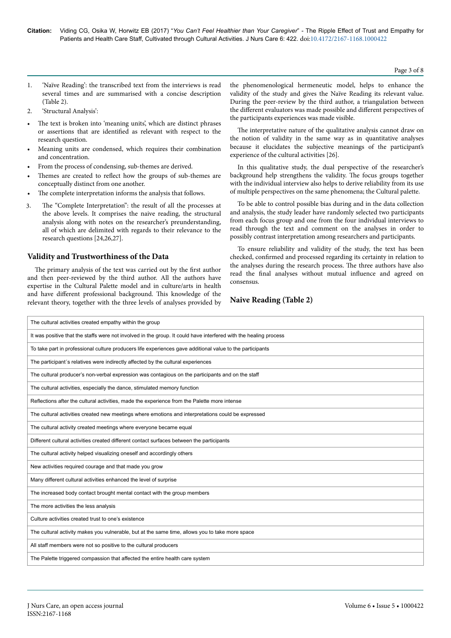Page 3 of 8

- 1. 'Naïve Reading': the transcribed text from the interviews is read several times and are summarised with a concise description (Table 2).
- 2. 'Structural Analysis':
- The text is broken into 'meaning units', which are distinct phrases or assertions that are identified as relevant with respect to the research question.
- Meaning units are condensed, which requires their combination and concentration.
- From the process of condensing, sub-themes are derived.
- Themes are created to reflect how the groups of sub-themes are conceptually distinct from one another.
- The complete interpretation informs the analysis that follows.
- The "Complete Interpretation": the result of all the processes at the above levels. It comprises the naive reading, the structural analysis along with notes on the researcher's preunderstanding, all of which are delimited with regards to their relevance to the research questions [24,26,27]. 3

# **Validity and Trustworthiness of the Data**

The primary analysis of the text was carried out by the first author and then peer-reviewed by the third author. All the authors have expertise in the Cultural Palette model and in culture/arts in health and have different professional background. This knowledge of the relevant theory, together with the three levels of analyses provided by

the phenomenological hermeneutic model, helps to enhance the validity of the study and gives the Naïve Reading its relevant value. During the peer-review by the third author, a triangulation between the different evaluators was made possible and different perspectives of the participants experiences was made visible.

The interpretative nature of the qualitative analysis cannot draw on the notion of validity in the same way as in quantitative analyses because it elucidates the subjective meanings of the participant's experience of the cultural activities [26].

In this qualitative study, the dual perspective of the researcher's background help strengthens the validity. Нe focus groups together with the individual interview also helps to derive reliability from its use of multiple perspectives on the same phenomena; the Cultural palette.

To be able to control possible bias during and in the data collection and analysis, the study leader have randomly selected two participants from each focus group and one from the four individual interviews to read through the text and comment on the analyses in order to possibly contrast interpretation among researchers and participants.

To ensure reliability and validity of the study, the text has been checked, confirmed and processed regarding its certainty in relation to the analyses during the research process. Нe three authors have also read the final analyses without mutual influence and agreed on consensus.

# **Naive Reading (Table 2)**

| The cultural activities created empathy within the group                                                          |  |  |
|-------------------------------------------------------------------------------------------------------------------|--|--|
| It was positive that the staffs were not involved in the group. It could have interfered with the healing process |  |  |
| To take part in professional culture producers life experiences gave additional value to the participants         |  |  |
| The participant's relatives were indirectly affected by the cultural experiences                                  |  |  |
| The cultural producer's non-verbal expression was contagious on the participants and on the staff                 |  |  |
| The cultural activities, especially the dance, stimulated memory function                                         |  |  |
| Reflections after the cultural activities, made the experience from the Palette more intense                      |  |  |
| The cultural activities created new meetings where emotions and interpretations could be expressed                |  |  |
| The cultural activity created meetings where everyone became equal                                                |  |  |
| Different cultural activities created different contact surfaces between the participants                         |  |  |
| The cultural activity helped visualizing oneself and accordingly others                                           |  |  |
| New activities required courage and that made you grow                                                            |  |  |
| Many different cultural activities enhanced the level of surprise                                                 |  |  |
| The increased body contact brought mental contact with the group members                                          |  |  |
| The more activities the less analysis                                                                             |  |  |
| Culture activities created trust to one's existence                                                               |  |  |
| The cultural activity makes you vulnerable, but at the same time, allows you to take more space                   |  |  |
| All staff members were not so positive to the cultural producers                                                  |  |  |
| The Palette triggered compassion that affected the entire health care system                                      |  |  |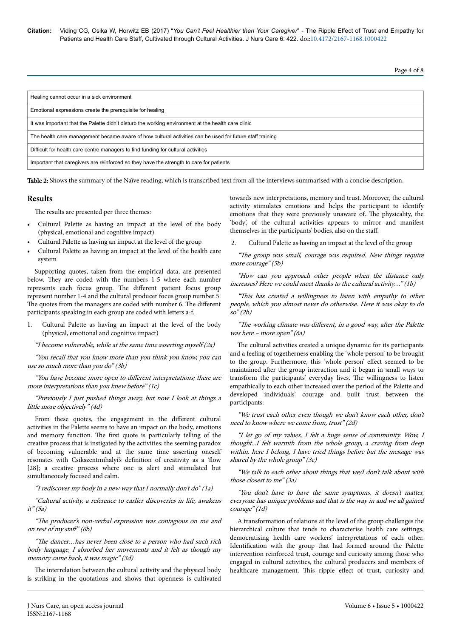**Citation:** Viding CG, Osika W, Horwitz EB (2017) "*You Can't Feel Healthier than Your Caregiver*" - The Ripple Effect of Trust and Empathy for Patients and Health Care Staff, Cultivated through Cultural Activities. J Nurs Care 6: 422. doi:10.4172/2167-1168.1000422

Page 4 of 8

| Healing cannot occur in a sick environment                                                               |  |
|----------------------------------------------------------------------------------------------------------|--|
| Emotional expressions create the prerequisite for healing                                                |  |
| It was important that the Palette didn't disturb the working environment at the health care clinic       |  |
| The health care management became aware of how cultural activities can be used for future staff training |  |
| Difficult for health care centre managers to find funding for cultural activities                        |  |
| Important that caregivers are reinforced so they have the strength to care for patients                  |  |

Table 2: Shows the summary of the Naïve reading, which is transcribed text from all the interviews summarised with a concise description.

### **Results**

The results are presented per three themes:

- Cultural Palette as having an impact at the level of the body (physical, emotional and cognitive impact)
- Cultural Palette as having an impact at the level of the group
- Cultural Palette as having an impact at the level of the health care system

Supporting quotes, taken from the empirical data, are presented below. They are coded with the numbers 1-5 where each number represents each focus group. The different patient focus group represent number 1-4 and the cultural producer focus group number 5. The quotes from the managers are coded with number 6. The different participants speaking in each group are coded with letters a-f.

Cultural Palette as having an impact at the level of the body (physical, emotional and cognitive impact)

"I become vulnerable, while at the same time asserting myself (2a)

"You recall that you know more than you think you know, you can use so much more than you do" (3b)

"You have become more open to different interpretations; there are more interpretations than you knew before" (1c)

"Previously I just pushed things away, but now I look at things a little more objectively" (4d)

From these quotes, the engagement in the different cultural activities in the Palette seems to have an impact on the body, emotions and memory function. Нe first quote is particularly telling of the creative process that is instigated by the activities: the seeming paradox of becoming vulnerable and at the same time asserting oneself resonates with Csikszentmihalyi's definition of creativity as a 'flow [28]; a creative process where one is alert and stimulated but simultaneously focused and calm.

"I rediscover my body in a new way that I normally don't do" (1a)

"Cultural activity, a reference to earlier discoveries in life, awakens it" (5a)

"Нe producer's non-verbal expression was contagious on me and on rest of my staff"  $(6b)$ 

"Нe dancer…has never been close to a person who had such rich body language, I absorbed her movements and it felt as though my memory came back, it was magic" (3d)

The interrelation between the cultural activity and the physical body is striking in the quotations and shows that openness is cultivated

towards new interpretations, memory and trust. Moreover, the cultural activity stimulates emotions and helps the participant to identify emotions that they were previously unaware of. Нe physicality, the 'body', of the cultural activities appears to mirror and manifest themselves in the participants' bodies, also on the staff.

 . Cultural Palette as having an impact at the level of the group  $2$ 

"Нe group was small, courage was required. New things require more courage" (5b)

"How can you approach other people when the distance only increases? Here we could meet thanks to the cultural activity…" (1b)

"This has created a willingness to listen with empathy to other people, which you almost never do otherwise. Here it was okay to do so" (2b)

"The working climate was different, in a good way, after the Palette was here – more open" (6a)

The cultural activities created a unique dynamic for its participants and a feeling of togetherness enabling the 'whole person' to be brought to the group. Furthermore, this 'whole person' effect seemed to be maintained after the group interaction and it began in small ways to transform the participants' everyday lives. Нe willingness to listen empathically to each other increased over the period of the Palette and developed individuals' courage and built trust between the participants:

"We trust each other even though we don't know each other, don't need to know where we come from, trust" (2d)

"I let go of my values, I felt a huge sense of community. Wow, I thought...I felt warmth from the whole group, a craving from deep within, here I belong, I have tried things before but the message was shared by the whole group" (3c)

"We talk to each other about things that we/I don't talk about with those closest to me" (3a)

"You don't have to have the same symptoms, it doesn't matter, everyone has unique problems and that is the way in and we all gained courage" (1d)

A transformation of relations at the level of the group challenges the hierarchical culture that tends to characterise health care settings, democratising health care workers' interpretations of each other. Identification with the group that had formed around the Palette intervention reinforced trust, courage and curiosity among those who engaged in cultural activities, the cultural producers and members of healthcare management. This ripple effect of trust, curiosity and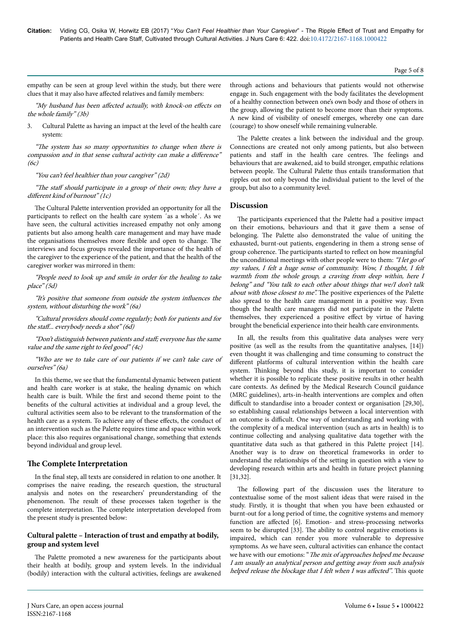empathy can be seen at group level within the study, but there were clues that it may also have affected relatives and family members:

"My husband has been affected actually, with knock-on effects on the whole family" (3b)

3. Cultural Palette as having an impact at the level of the health care system:

"Нe system has so many opportunities to change when there is compassion and in that sense cultural activity can make a difference"  $(6c)$ 

#### "You can't feel healthier than your caregiver" (2d)

"The staff should participate in a group of their own; they have a different kind of burnout"  $(lc)$ 

The Cultural Palette intervention provided an opportunity for all the participants to reflect on the health care system ´as a whole´. As we have seen, the cultural activities increased empathy not only among patients but also among health care management and may have made the organisations themselves more flexible and open to change. The interviews and focus groups revealed the importance of the health of the caregiver to the experience of the patient, and that the health of the caregiver worker was mirrored in them:

"People need to look up and smile in order for the healing to take place" (5d)

"It's positive that someone from outside the system influences the system, without disturbing the work" (6a)

"Cultural providers should come regularly; both for patients and for the staff... everybody needs a shot"  $(6d)$ 

"Don't distinguish between patients and staff; everyone has the same value and the same right to feel good" (4c)

"Who are we to take care of our patients if we can't take care of ourselves" (6a)

In this theme, we see that the fundamental dynamic between patient and health care worker is at stake, the healing dynamic on which health care is built. While the first and second theme point to the benefits of the cultural activities at individual and a group level, the cultural activities seem also to be relevant to the transformation of the health care as a system. To achieve any of these effects, the conduct of an intervention such as the Palette requires time and space within work place: this also requires organisational change, something that extends beyond individual and group level.

### **The Complete Interpretation**

In the final step, all texts are considered in relation to one another. It comprises the naive reading, the research question, the structural analysis and notes on the researchers' preunderstanding of the phenomenon. Нe result of these processes taken together is the complete interpretation. Нe complete interpretation developed from the present study is presented below:

### **Cultural palette – Interaction of trust and empathy at bodily, group and system level**

The Palette promoted a new awareness for the participants about their health at bodily, group and system levels. In the individual (bodily) interaction with the cultural activities, feelings are awakened

through actions and behaviours that patients would not otherwise engage in. Such engagement with the body facilitates the development of a healthy connection between one's own body and those of others in the group, allowing the patient to become more than their symptoms. A new kind of visibility of oneself emerges, whereby one can dare (courage) to show oneself while remaining vulnerable.

The Palette creates a link between the individual and the group. Connections are created not only among patients, but also between patients and staff in the health care centres. The feelings and behaviours that are awakened, aid to build stronger, empathic relations between people. Нe Cultural Palette thus entails transformation that ripples out not only beyond the individual patient to the level of the group, but also to a community level.

### **Discussion**

The participants experienced that the Palette had a positive impact on their emotions, behaviours and that it gave them a sense of belonging. Нe Palette also demonstrated the value of uniting the exhausted, burnt-out patients, engendering in them a strong sense of group coherence. Нe participants started to reflect on how meaningful the unconditional meetings with other people were to them: "I let go of my values, I felt a huge sense of community. Wow, I thought, I felt warmth from the whole group, a craving from deep within, here I belong" and "You talk to each other about things that we/I don't talk about with those closest to me". The positive experiences of the Palette also spread to the health care management in a positive way. Even though the health care managers did not participate in the Palette themselves, they experienced a positive effect by virtue of having brought the beneficial experience into their health care environments.

In all, the results from this qualitative data analyses were very positive (as well as the results from the quantitative analyses, [14]) even thought it was challenging and time consuming to construct the different platforms of cultural intervention within the health care system. Thinking beyond this study, it is important to consider whether it is possible to replicate these positive results in other health care contexts. As defined by the Medical Research Council guidance (MRC guidelines), arts-in-health interventions are complex and often difficult to standardise into a broader context or organisation [29,30], so establishing causal relationships between a local intervention with an outcome is difficult. One way of understanding and working with the complexity of a medical intervention (such as arts in health) is to continue collecting and analysing qualitative data together with the quantitative data such as that gathered in this Palette project [14]. Another way is to draw on theoretical frameworks in order to understand the relationships of the setting in question with a view to developing research within arts and health in future project planning [31,32].

The following part of the discussion uses the literature to contextualise some of the most salient ideas that were raised in the study. Firstly, it is thought that when you have been exhausted or burnt-out for a long period of time, the cognitive systems and memory function are affected [6]. Emotion- and stress-processing networks seem to be disrupted [33]. Нe ability to control negative emotions is impaired, which can render you more vulnerable to depressive symptoms. As we have seen, cultural activities can enhance the contact we have with our emotions: "The mix of approaches helped me because I am usually an analytical person and getting away from such analysis helped release the blockage that I felt when I was affected". This quote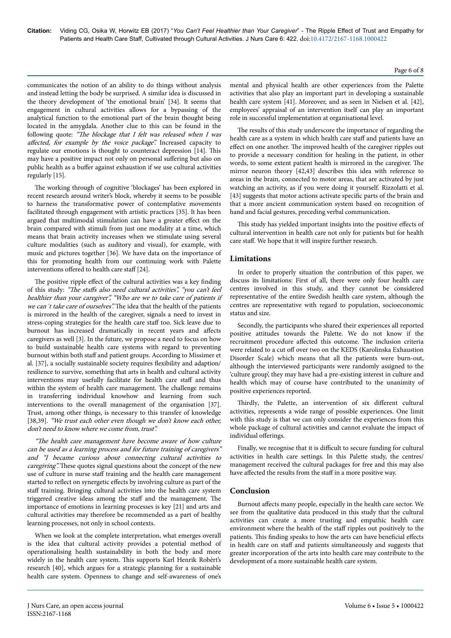communicates the notion of an ability to do things without analysis and instead letting the body be surprised. A similar idea is discussed in the theory development of 'the emotional brain' [34]. It seems that engagement in cultural activities allows for a bypassing of the analytical function to the emotional part of the brain thought being located in the amygdala. Another clue to this can be found in the following quote: "The blockage that I felt was released when I was affected, for example by the voice package". Increased capacity to regulate our emotions is thought to counteract depression [14]. This may have a positive impact not only on personal suffering but also on public health as a buffer against exhaustion if we use cultural activities regularly [15].

The working through of cognitive 'blockages' has been explored in recent research around writer's block, whereby it seems to be possible to harness the transformative power of contemplative movements facilitated through engagement with artistic practices [35]. It has been argued that multimodal stimulation can have a greater effect on the brain compared with stimuli from just one modality at a time, which means that brain activity increases when we stimulate using several culture modalities (such as auditory and visual), for example, with music and pictures together [36]. We have data on the importance of this for promoting health from our continuing work with Palette interventions offered to health care staff [24].

The positive ripple effect of the cultural activities was a key finding of this study: "The staffs also need cultural activities", "you can't feel healthier than your caregiver", "Who are we to take care of patients if we can't take care of ourselves". The idea that the health of the patients is mirrored in the health of the caregiver, signals a need to invest in stress-coping strategies for the health care staff too. Sick leave due to burnout has increased dramatically in recent years and affects caregivers as well [3]. In the future, we propose a need to focus on how to build sustainable health care systems with regard to preventing burnout within both staff and patient groups. According to Missimer et al. [37], a socially sustainable society requires flexibility and adaption/ resilience to survive, something that arts in health and cultural activity interventions may usefully facilitate for health care staff and thus within the system of health care management. Нe challenge remains in transferring individual knowhow and learning from such interventions to the overall management of the organisation [37]. Trust, among other things, is necessary to this transfer of knowledge [38,39]. "We trust each other even though we don't know each other, don't need to know where we come from, trust".

"Нe health care management have become aware of how culture can be used as a learning process and for future training of caregivers" and "I became curious about connecting cultural activities to caregiving". These quotes signal questions about the concept of the new use of culture in nurse staff training and the health care management started to reflect on synergetic effects by involving culture as part of the staff training. Bringing cultural activities into the health care system triggered creative ideas among the staff and the management. The importance of emotions in learning processes is key [21] and arts and cultural activities may therefore be recommended as a part of healthy learning processes, not only in school contexts.

When we look at the complete interpretation, what emerges overall is the idea that cultural activity provides a potential method of operationalising health sustainability in both the body and more widely in the health care system. This supports Karl Henrik Robèrt's research [40], which argues for a strategic planning for a sustainable health care system. Openness to change and self-awareness of one's

activities that also play an important part in developing a sustainable health care system [41]. Moreover, and as seen in Nielsen et al. [42], employees' appraisal of an intervention itself can play an important role in successful implementation at organisational level. The results of this study underscore the importance of regarding the

mental and physical health are other experiences from the Palette

health care as a system in which health care staff and patients have an effect on one another. The improved health of the caregiver ripples out to provide a necessary condition for healing in the patient, in other words, to some extent patient health is mirrored in the caregiver. Нe mirror neuron theory [42,43] describes this idea with reference to areas in the brain, connected to motor areas, that are activated by just watching an activity, as if you were doing it yourself. Rizzolatti et al. [43] suggests that motor actions activate specific parts of the brain and that a more ancient communication system based on recognition of hand and facial gestures, preceding verbal communication.

This study has yielded important insights into the positive effects of cultural intervention in health care not only for patients but for health care staff. We hope that it will inspire further research.

## **Limitations**

In order to properly situation the contribution of this paper, we discuss its limitations: First of all, there were only four health care centres involved in this study, and they cannot be considered representative of the entire Swedish health care system, although the centres are representative with regard to population, socioeconomic status and size.

Secondly, the participants who shared their experiences all reported positive attitudes towards the Palette. We do not know if the recruitment procedure affected this outcome. The inclusion criteria were related to a cut off over two on the KEDS (Karolinska Exhaustion Disorder Scale) which means that all the patients were burn-out, although the interviewed participants were randomly assigned to the 'culture group', they may have had a pre-existing interest in culture and health which may of course have contributed to the unanimity of positive experiences reported.

Thirdly, the Palette, an intervention of six different cultural activities, represents a wide range of possible experiences. One limit with this study is that we can only consider the experiences from this whole package of cultural activities and cannot evaluate the impact of individual offerings.

Finally, we recognise that it is difficult to secure funding for cultural activities in health care settings. In this Palette study, the centres/ management received the cultural packages for free and this may also have affected the results from the staff in a more positive way.

### **Conclusion**

Burnout affects many people, especially in the health care sector. We see from the qualitative data produced in this study that the cultural activities can create a more trusting and empathic health care environment where the health of the staff ripples out positively to the patients. This finding speaks to how the arts can have beneficial effects in health care on staff and patients simultaneously and suggests that greater incorporation of the arts into health care may contribute to the development of a more sustainable health care system.

#### Page 6 of 8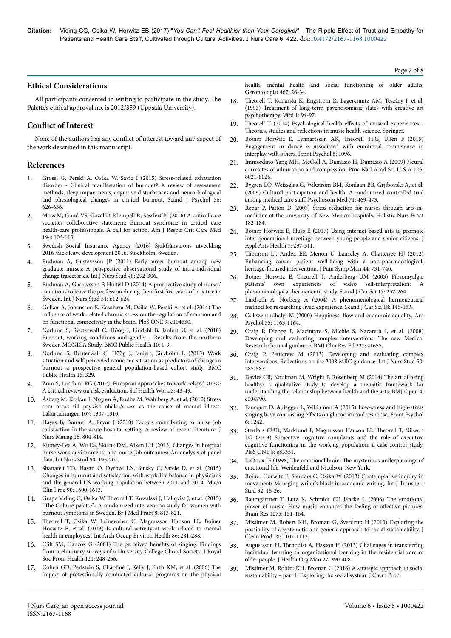### **Ethical Considerations**

All participants consented in writing to participate in the study. Нe Palette's ethical approval no. is 2012/359 (Uppsala University).

### **Conflict of Interest**

None of the authors has any conflict of interest toward any aspect of the work described in this manuscript.

#### **References**

- 1. [Grossi G, Perski A, Osika W, Savic I \(2015\) Stress-related exhaustion](http://doi.org/10.1111/sjop.12251) [disorder - Clinical manifestation of burnout? A review of assessment](http://doi.org/10.1111/sjop.12251) [methods, sleep impairments, cognitive disturbances and neuro-biological](http://doi.org/10.1111/sjop.12251) [and physiological changes in clinical burnout. Scand J Psychol 56:](http://doi.org/10.1111/sjop.12251) [626-636.](http://doi.org/10.1111/sjop.12251)
- 2. [Moss M, Good VS, Gozal D, Kleinpell R, SesslerCN \(2016\) A critical care](http://doi.org/10.1164/rccm.201604-0708ST) [societies collaborative statement: Burnout syndrome in critical care](http://doi.org/10.1164/rccm.201604-0708ST) [health-care professionals. A call for action. Am J Respir Crit Care Med](http://doi.org/10.1164/rccm.201604-0708ST) [194: 106-113.](http://doi.org/10.1164/rccm.201604-0708ST)
- 3. [Swedish Social Insurance Agency \(2016\) Sjukfrånvarons utveckling](https://www.forsakringskassan.se/wps/wcm/connect/a2001891-5c47-4b8a-b47b-64dfbbd48555/socialforsakringsrapport_2016_07.pdf?MOD=AJPERES) [2016 /Sick leave development 2016. Stockholm, Sweden.](https://www.forsakringskassan.se/wps/wcm/connect/a2001891-5c47-4b8a-b47b-64dfbbd48555/socialforsakringsrapport_2016_07.pdf?MOD=AJPERES)
- 4. [Rudman A, Gustavsson JP \(2011\) Early-career burnout among new](http://doi.org/10.1016/j.ijnurstu.2010.07.012) [graduate nurses: A prospective observational study of intra-individual](http://doi.org/10.1016/j.ijnurstu.2010.07.012) [change trajectories. Int J Nurs Stud 48: 292-306.](http://doi.org/10.1016/j.ijnurstu.2010.07.012)
- 5. [Rudman A, Gustavsson P, Hultell D \(2014\) A prospective study of nurses'](http://doi.org/10.1016/j.ijnurstu.2013.09.012) [intentions to leave the profession during their](http://doi.org/10.1016/j.ijnurstu.2013.09.012) first five years of practice in [Sweden. Int J Nurs Stud 51: 612-624.](http://doi.org/10.1016/j.ijnurstu.2013.09.012)
- 6. [Golkar A, Johansson E, Kasahara M, Osika W, Perski A, et al. \(2014\)](http://doi.org/10.1371/journal.pone.0104550) Нe influence [of work-related chronic stress on the regulation of emotion and](http://doi.org/10.1371/journal.pone.0104550) [on functional connectivity in the brain. PloS ONE 9: e104550.](http://doi.org/10.1371/journal.pone.0104550)
- 7. [Norlund S, Reuterwall C, Höög J, Lindahl B, Janlert U, et al. \(2010\)](http://doi.org/10.1186/1471-2458-10-326) [Burnout, working conditions and gender - Results from the northern](http://doi.org/10.1186/1471-2458-10-326) [Sweden MONICA Study. BMC Public Health 10: 1-9.](http://doi.org/10.1186/1471-2458-10-326)
- 8. [Norlund S, Reuterwall C, Höög J, Janlert, Järvholm L \(2015\) Work](http://doi.org/10.1186/s12889-015-1681-x) [situation and self-perceived economic situation as predictors of change in](http://doi.org/10.1186/s12889-015-1681-x) [burnout--a prospective general population-based cohort study. BMC](http://doi.org/10.1186/s12889-015-1681-x) [Public Health 15: 329.](http://doi.org/10.1186/s12889-015-1681-x)
- 9. [Zoni S, Lucchini RG \(2012\). European approaches to work-related stress:](http://doi.org/10.5491/SHAW.2012.3.1.43) [A critical review on risk evaluation. Saf Health Work 3: 43-49.](http://doi.org/10.5491/SHAW.2012.3.1.43)
- 10. Åsberg M, Krakau I, Nygren Å, Rodhe M, Wahlberg A, et al. (2010) Stress som orsak till psykisk ohälsa/stress as the cause of mental illness. Läkartidningen 107: 1307-1310.
- 11. [Hayes B, Bonner A, Pryor J \(2010\) Factors contributing to nurse job](http://doi.org/10.1111/j.1365-2834.2010.01131.x) [satisfaction in the acute hospital setting: A review of recent literature. J](http://doi.org/10.1111/j.1365-2834.2010.01131.x) [Nurs Manag 18: 804-814.](http://doi.org/10.1111/j.1365-2834.2010.01131.x)
- 12. [Kutney-Lee A, Wu ES, Sloane DM, Aiken LH \(2013\) Changes in hospital](http://doi.org/10.1016/j.ijnurstu.2012.07.014) [nurse work environments and nurse job outcomes: An analysis of panel](http://doi.org/10.1016/j.ijnurstu.2012.07.014) [data. Int Nurs Stud 50: 195-201.](http://doi.org/10.1016/j.ijnurstu.2012.07.014)
- 13. [Shanafelt TD, Hasan O, Dyrbye LN, Sinsky C, Satele D, et al. \(2015\)](http://doi.org/10.1016/j.mayocp.2015.08.023) [Changes in burnout and satisfaction with work-life balance in physicians](http://doi.org/10.1016/j.mayocp.2015.08.023) [and the general US working population between 2011 and 2014. Mayo](http://doi.org/10.1016/j.mayocp.2015.08.023) [Clin Proc 90: 1600-1613.](http://doi.org/10.1016/j.mayocp.2015.08.023)
- 14. Grape Viding C, Osika W, Нeorell [T, Kowalski J, Hallqvist J, et al. \(2015\)](http://www.bjmp.org/content/culture-palette-randomized-intervention-study-women-burnout-symptoms-sweden) "Нe [Culture palette"- A randomized intervention study for women with](http://www.bjmp.org/content/culture-palette-randomized-intervention-study-women-burnout-symptoms-sweden) [burnout symptoms in Sweden. Br J Med Pract 8: 813-821.](http://www.bjmp.org/content/culture-palette-randomized-intervention-study-women-burnout-symptoms-sweden)
- 15. Нeorell [T, Osika W, Leineweber C, Magnusson Hanson LL, Bojner](http://doi.org/10.1007/s00420-012-0762-8) [Horwitz E, et al. \(2013\) Is cultural activity at work related to mental](http://doi.org/10.1007/s00420-012-0762-8) [health in employees? Int Arch Occup Environ Health 86: 281-288.](http://doi.org/10.1007/s00420-012-0762-8)
- 16. Clift [SM, Hancox G \(2001\)](http://doi.org/10.1177/146642400112100409) The perceived benefits of singing: Findings [from preliminary surveys of a University College Choral Society. J Royal](http://doi.org/10.1177/146642400112100409) [Soc Prom Health 121: 248-256.](http://doi.org/10.1177/146642400112100409)
- 17. [Cohen GD, Perlstein S, Chapline J, Kelly J, Firth KM, et al. \(2006\)](http://doi.org/10.1093/geront/46.6.726) Нe [impact of professionally conducted cultural programs on the physical](http://doi.org/10.1093/geront/46.6.726)

[health, mental health and social functioning of older adults.](http://doi.org/10.1093/geront/46.6.726) [Gerontologist 467: 26-34.](http://doi.org/10.1093/geront/46.6.726)

- 18. Нeorell T, Konarski K, Engström R, Lagercrantz AM, Teszåry J, et al. (1993) Treatment of long-term psychosomatic states with creative art psychotherapy. Vård 1: 94-97.
- 19. Theorell T (2014) Psychological health effects of musical experiences -Theories, studies and reflections in music health science. Springer.
- 20. [Bojner Horwitz E, Lennartsson AK,](http://doi.org/10.3389/fpsyg.2015.01096) Нeorell TPG, Ullén F (2015) [Engagement in dance is associated with emotional competence in](http://doi.org/10.3389/fpsyg.2015.01096) [interplay with others. Front Psychol 6: 1096.](http://doi.org/10.3389/fpsyg.2015.01096)
- 21. [Immordino-Yang MH, McColl A, Damasio H, Damasio A \(2009\) Neural](http://doi.org/10.1073/pnas.0810363106) [correlates of admiration and compassion. Proc Natl Acad Sci U S A 106:](http://doi.org/10.1073/pnas.0810363106) [8021-8026.](http://doi.org/10.1073/pnas.0810363106)
- 22. [Bygren LO, Weissglas G, Wikström BM, Konlaan BB, Grjibovski A, et al.](http://doi.org/10.1097/PSY.0b013e31819e47d4) [\(2009\) Cultural participation and health: A randomized controlled trial](http://doi.org/10.1097/PSY.0b013e31819e47d4) among medical care staff. [Psychosom Med 71: 469-473.](http://doi.org/10.1097/PSY.0b013e31819e47d4)
- 23. Repar P, Patton D (2007) Stress reduction for nurses through arts-inmedicine at the university of New Mexico hospitals. Holistic Nurs Pract 182-184.
- 24. Bojner Horwitz E, Huss E (2017) Using internet based arts to promote inter-generational meetings between young people and senior citizens. J Appl Arts Health 7: 297-311.
- 25. Нomson [LJ, Ander, EE, Menon U, Lanceley A, Chatterjee HJ \(2012\)](http://doi.org/10.1016/j.jpainsymman.2011.10.026) [Enhancing cancer patient well-being with a non-pharmacological,](http://doi.org/10.1016/j.jpainsymman.2011.10.026) [heritage-focused intervention. J Pain Symp Man 44: 731-740.](http://doi.org/10.1016/j.jpainsymman.2011.10.026)
- 26. Bojner Horwitz E, Нeorell [T, Anderberg UM \(2003\) Fibromyalgia](http://doi.org/10.1046/j.1471-6712.2003.00223.x) patients' own experiences of video self-interpretation: [phenomenological-hermeneutic study. Scand J Car Sci 17: 257-264.](http://doi.org/10.1046/j.1471-6712.2003.00223.x)
- 27. [Lindseth A, Norberg A \(2004\) A phenomenological hermeneutical](http://doi.org/10.1111/j.1471-6712.2004.00258.x) [method for researching lived experience. Scand J Car Sci 18: 145-153.](http://doi.org/10.1111/j.1471-6712.2004.00258.x)
- 28. [Csikszentmihalyi M \(2000\) Happiness,](http://content.apa.org/journals/amp/55/10/1163) flow and economic equality. Am [Psychol 55: 1163-1164.](http://content.apa.org/journals/amp/55/10/1163)
- 29. [Craig P, Dieppe P, Macintyre S, Michie S, Nazareth I, et al. \(2008\)](https://dx.doi.org/10.1136%2Fbmj.a1655) [Developing and evaluating complex interventions:](https://dx.doi.org/10.1136%2Fbmj.a1655) Нe new Medical [Research Council guidance. BMJ Clin Res Ed 337: a1655.](https://dx.doi.org/10.1136%2Fbmj.a1655)
- [Craig P, Petticrew M \(2013\) Developing and evaluating complex](http://doi.org/10.1016/j.ijnurstu.2012.09.009) interventions: Reflections [on the 2008 MRC guidance. Int J Nurs Stud 50:](http://doi.org/10.1016/j.ijnurstu.2012.09.009) [585-587.](http://doi.org/10.1016/j.ijnurstu.2012.09.009)
- 31. [Davies CR, Knuiman M, Wright P, Rosenberg M \(2014\)](http://doi.org/10.1136/bmjopen-2014-004790) The art of being [healthy: a qualitative study to develop a thematic framework for](http://doi.org/10.1136/bmjopen-2014-004790) [understanding the relationship between health and the arts. BMJ Open 4:](http://doi.org/10.1136/bmjopen-2014-004790) [e004790.](http://doi.org/10.1136/bmjopen-2014-004790)
- 32. [Fancourt D, Aufegger L, Williamon A \(2015\) Low-stress and high-stress](http://doi.org/10.3389/fpsyg.2015.01242) singing have contrasting effects [on glucocorticoid response. Front Psychol](http://doi.org/10.3389/fpsyg.2015.01242) [6: 1242.](http://doi.org/10.3389/fpsyg.2015.01242)
- 33. [Stenfors CUD, Marklund P, Magnusson Hanson LL,](http://doi.org/10.1371/journal.pone.0083351) Нeorell T, Nilsson [LG \(2013\) Subjective cognitive complaints and the role of executive](http://doi.org/10.1371/journal.pone.0083351) [cognitive functioning in the working population: a case-control study.](http://doi.org/10.1371/journal.pone.0083351) [PloS ONE 8: e83351.](http://doi.org/10.1371/journal.pone.0083351)
- 34. LeDoux JE (1998) The emotional brain: The mysterious underpinnings of emotional life. Weidenfeld and Nicolson, New York.
- 35. Bojner Horwitz E, Stenfors C, Osika W (2013) Contemplative inquiry in movement: Managing writer's block in academic writing. Int J Transpers Stud 32: 16-26.
- 36. [Baumgartner T, Lutz K, Schmidt CF, Jäncke L \(2006\)](http://doi.org/10.1016/j.brainres.2005.12.065) Нe emotional [power of music: How music enhances the feeling of](http://doi.org/10.1016/j.brainres.2005.12.065) affective pictures. [Brain Res 1075: 151-164.](http://doi.org/10.1016/j.brainres.2005.12.065)
- 37. [Missimer M, Robèrt KH, Broman G, Sverdrup H \(2010\) Exploring the](http://doi.org/10.1016/j.jclepro.2010.02.024) [possibility of a systematic and generic approach to social sustainability. J](http://doi.org/10.1016/j.jclepro.2010.02.024) [Clean Prod 18: 1107-1112.](http://doi.org/10.1016/j.jclepro.2010.02.024)
- 38. [Augustsson H, Törnquist A, Hasson H \(2013\) Challenges in transferring](http://doi.org/10.1108/JHOM-Sep-2012-0163) [individual learning to organizational learning in the residential care of](http://doi.org/10.1108/JHOM-Sep-2012-0163) [older people. J Health Org Man 27: 390-408.](http://doi.org/10.1108/JHOM-Sep-2012-0163)
- 39. [Missimer M, Robèrt KH, Broman G \(2016\) A strategic approach to social](http://doi.org/10.1016/j.jclepro.2016.03.170) [sustainability – part 1: Exploring the social system. J Clean Prod.](http://doi.org/10.1016/j.jclepro.2016.03.170)

Page 7 of 8